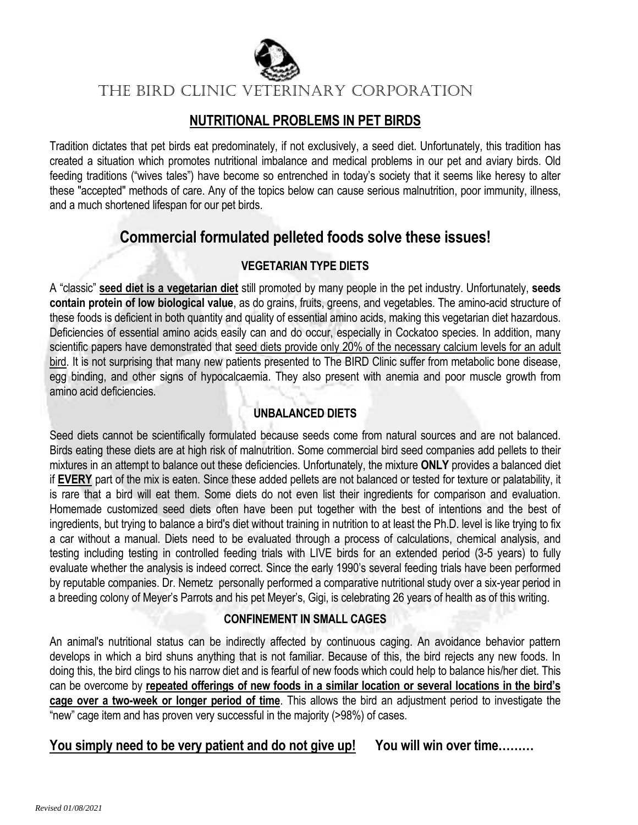

The BIRD Clinic VETERINARY CORPORATION

## **NUTRITIONAL PROBLEMS IN PET BIRDS**

Tradition dictates that pet birds eat predominately, if not exclusively, a seed diet. Unfortunately, this tradition has created a situation which promotes nutritional imbalance and medical problems in our pet and aviary birds. Old feeding traditions ("wives tales") have become so entrenched in today's society that it seems like heresy to alter these "accepted" methods of care. Any of the topics below can cause serious malnutrition, poor immunity, illness, and a much shortened lifespan for our pet birds.

# **Commercial formulated pelleted foods solve these issues!**

## **VEGETARIAN TYPE DIETS**

A "classic" **seed diet is a vegetarian diet** still promoted by many people in the pet industry. Unfortunately, **seeds contain protein of low biological value**, as do grains, fruits, greens, and vegetables. The amino-acid structure of these foods is deficient in both quantity and quality of essential amino acids, making this vegetarian diet hazardous. Deficiencies of essential amino acids easily can and do occur, especially in Cockatoo species. In addition, many scientific papers have demonstrated that seed diets provide only 20% of the necessary calcium levels for an adult bird. It is not surprising that many new patients presented to The BIRD Clinic suffer from metabolic bone disease, egg binding, and other signs of hypocalcaemia. They also present with anemia and poor muscle growth from amino acid deficiencies.

## **UNBALANCED DIETS**

Seed diets cannot be scientifically formulated because seeds come from natural sources and are not balanced. Birds eating these diets are at high risk of malnutrition. Some commercial bird seed companies add pellets to their mixtures in an attempt to balance out these deficiencies. Unfortunately, the mixture **ONLY** provides a balanced diet if **EVERY** part of the mix is eaten. Since these added pellets are not balanced or tested for texture or palatability, it is rare that a bird will eat them. Some diets do not even list their ingredients for comparison and evaluation. Homemade customized seed diets often have been put together with the best of intentions and the best of ingredients, but trying to balance a bird's diet without training in nutrition to at least the Ph.D. level is like trying to fix a car without a manual. Diets need to be evaluated through a process of calculations, chemical analysis, and testing including testing in controlled feeding trials with LIVE birds for an extended period (3-5 years) to fully evaluate whether the analysis is indeed correct. Since the early 1990's several feeding trials have been performed by reputable companies. Dr. Nemetz personally performed a comparative nutritional study over a six-year period in a breeding colony of Meyer's Parrots and his pet Meyer's, Gigi, is celebrating 26 years of health as of this writing.

## **CONFINEMENT IN SMALL CAGES**

An animal's nutritional status can be indirectly affected by continuous caging. An avoidance behavior pattern develops in which a bird shuns anything that is not familiar. Because of this, the bird rejects any new foods. In doing this, the bird clings to his narrow diet and is fearful of new foods which could help to balance his/her diet. This can be overcome by **repeated offerings of new foods in a similar location or several locations in the bird's cage over a two-week or longer period of time**. This allows the bird an adjustment period to investigate the "new" cage item and has proven very successful in the majority (>98%) of cases.

## **You simply need to be very patient and do not give up! You will win over time………**